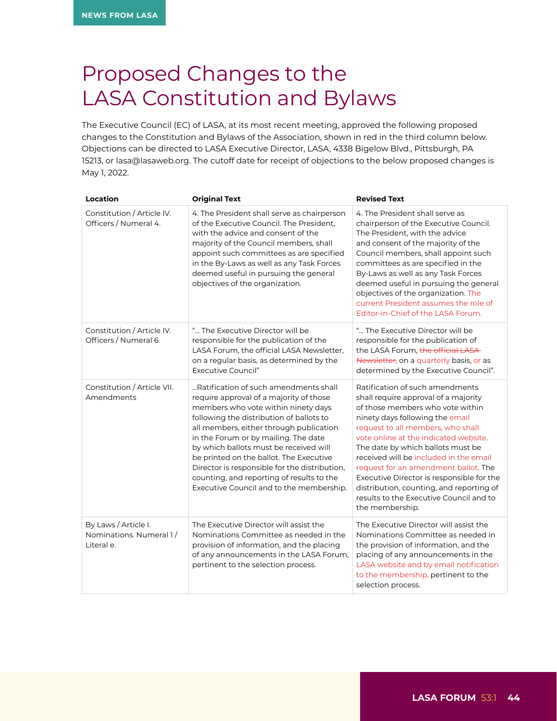## Proposed Changes to the LASA Constitution and Bylaws

The Executive Council (EC) of LASA, at its most recent meeting, approved the following proposed changes to the Constitution and Bylaws of the Association, shown in red in the third column below. Objections can be directed to LASA Executive Director, LASA, 4338 Bigelow Blvd., Pittsburgh, PA 15213, or lasa@lasaweb.org. The cutoff date for receipt of objections to the below proposed changes is May 1, 2022.

| Location                                                      | <b>Original Text</b>                                                                                                                                                                                                                                                                                                                                                                                                                                                                  | <b>Revised Text</b>                                                                                                                                                                                                                                                                                                                                                                                                                                                                                        |
|---------------------------------------------------------------|---------------------------------------------------------------------------------------------------------------------------------------------------------------------------------------------------------------------------------------------------------------------------------------------------------------------------------------------------------------------------------------------------------------------------------------------------------------------------------------|------------------------------------------------------------------------------------------------------------------------------------------------------------------------------------------------------------------------------------------------------------------------------------------------------------------------------------------------------------------------------------------------------------------------------------------------------------------------------------------------------------|
| Constitution / Article IV.<br>Officers / Numeral 4.           | 4. The President shall serve as chairperson<br>of the Executive Council. The President,<br>with the advice and consent of the<br>majority of the Council members, shall<br>appoint such committees as are specified<br>in the By-Laws as well as any Task Forces<br>deemed useful in pursuing the general<br>objectives of the organization.                                                                                                                                          | 4. The President shall serve as<br>chairperson of the Executive Council.<br>The President, with the advice<br>and consent of the majority of the<br>Council members, shall appoint such<br>committees as are specified in the<br>By-Laws as well as any Task Forces<br>deemed useful in pursuing the general<br>objectives of the organization. The<br>current President assumes the role of<br>Editor-in-Chief of the LASA Forum.                                                                         |
| Constitution / Article IV.<br>Officers / Numeral 6.           | " The Executive Director will be<br>responsible for the publication of the<br>LASA Forum, the official LASA Newsletter,<br>on a regular basis, as determined by the<br>Executive Council"                                                                                                                                                                                                                                                                                             | " The Executive Director will be<br>responsible for the publication of<br>the LASA Forum, the official LASA<br>Newsletter, on a quarterly basis, or as<br>determined by the Executive Council".                                                                                                                                                                                                                                                                                                            |
| Constitution / Article VII.<br>Amendments                     | Ratification of such amendments shall<br>require approval of a majority of those<br>members who vote within ninety days<br>following the distribution of ballots to<br>all members, either through publication<br>in the Forum or by mailing. The date<br>by which ballots must be received will<br>be printed on the ballot. The Executive<br>Director is responsible for the distribution,<br>counting, and reporting of results to the<br>Executive Council and to the membership. | Ratification of such amendments<br>shall require approval of a majority<br>of those members who vote within<br>ninety days following the email<br>request to all members, who shall<br>vote online at the indicated website.<br>The date by which ballots must be<br>received will be included in the email<br>request for an amendment ballot. The<br>Executive Director is responsible for the<br>distribution, counting, and reporting of<br>results to the Executive Council and to<br>the membership. |
| By Laws / Article I.<br>Nominations. Numeral 1/<br>Literal e. | The Executive Director will assist the<br>Nominations Committee as needed in the<br>provision of information, and the placing<br>of any announcements in the LASA Forum,<br>pertinent to the selection process.                                                                                                                                                                                                                                                                       | The Executive Director will assist the<br>Nominations Committee as needed in<br>the provision of information, and the<br>placing of any announcements in the<br>LASA website and by email notification<br>to the membership, pertinent to the<br>selection process.                                                                                                                                                                                                                                        |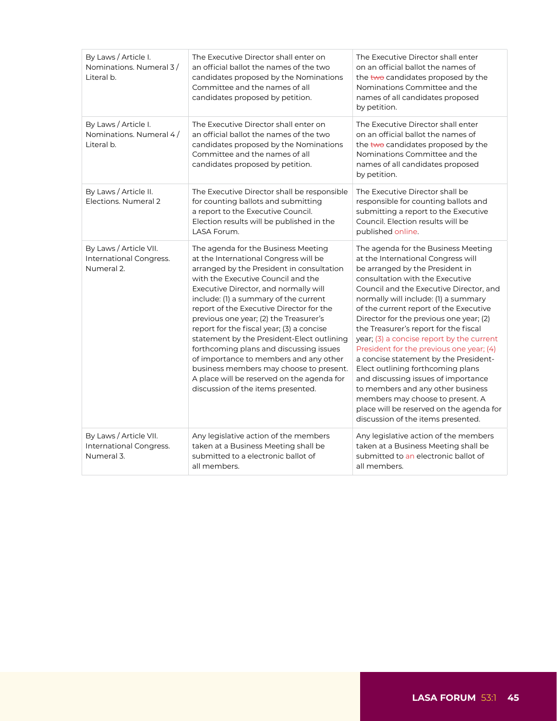| By Laws / Article I.<br>Nominations. Numeral 3/<br>Literal b.   | The Executive Director shall enter on<br>an official ballot the names of the two<br>candidates proposed by the Nominations<br>Committee and the names of all<br>candidates proposed by petition.                                                                                                                                                                                                                                                                                                                                                                                                                                                       | The Executive Director shall enter<br>on an official ballot the names of<br>the two candidates proposed by the<br>Nominations Committee and the<br>names of all candidates proposed<br>by petition.                                                                                                                                                                                                                                                                                                                                                                                                                                                                                                                                       |
|-----------------------------------------------------------------|--------------------------------------------------------------------------------------------------------------------------------------------------------------------------------------------------------------------------------------------------------------------------------------------------------------------------------------------------------------------------------------------------------------------------------------------------------------------------------------------------------------------------------------------------------------------------------------------------------------------------------------------------------|-------------------------------------------------------------------------------------------------------------------------------------------------------------------------------------------------------------------------------------------------------------------------------------------------------------------------------------------------------------------------------------------------------------------------------------------------------------------------------------------------------------------------------------------------------------------------------------------------------------------------------------------------------------------------------------------------------------------------------------------|
| By Laws / Article I.<br>Nominations. Numeral 4/<br>Literal b.   | The Executive Director shall enter on<br>an official ballot the names of the two<br>candidates proposed by the Nominations<br>Committee and the names of all<br>candidates proposed by petition.                                                                                                                                                                                                                                                                                                                                                                                                                                                       | The Executive Director shall enter<br>on an official ballot the names of<br>the two candidates proposed by the<br>Nominations Committee and the<br>names of all candidates proposed<br>by petition.                                                                                                                                                                                                                                                                                                                                                                                                                                                                                                                                       |
| By Laws / Article II.<br>Elections. Numeral 2                   | The Executive Director shall be responsible<br>for counting ballots and submitting<br>a report to the Executive Council.<br>Election results will be published in the<br>LASA Forum.                                                                                                                                                                                                                                                                                                                                                                                                                                                                   | The Executive Director shall be<br>responsible for counting ballots and<br>submitting a report to the Executive<br>Council. Election results will be<br>published online.                                                                                                                                                                                                                                                                                                                                                                                                                                                                                                                                                                 |
| By Laws / Article VII.<br>International Congress.<br>Numeral 2. | The agenda for the Business Meeting<br>at the International Congress will be<br>arranged by the President in consultation<br>with the Executive Council and the<br>Executive Director, and normally will<br>include: (1) a summary of the current<br>report of the Executive Director for the<br>previous one year; (2) the Treasurer's<br>report for the fiscal year; (3) a concise<br>statement by the President-Elect outlining<br>forthcoming plans and discussing issues<br>of importance to members and any other<br>business members may choose to present.<br>A place will be reserved on the agenda for<br>discussion of the items presented. | The agenda for the Business Meeting<br>at the International Congress will<br>be arranged by the President in<br>consultation with the Executive<br>Council and the Executive Director, and<br>normally will include: (1) a summary<br>of the current report of the Executive<br>Director for the previous one year; (2)<br>the Treasurer's report for the fiscal<br>year; (3) a concise report by the current<br>President for the previous one year; (4)<br>a concise statement by the President-<br>Elect outlining forthcoming plans<br>and discussing issues of importance<br>to members and any other business<br>members may choose to present. A<br>place will be reserved on the agenda for<br>discussion of the items presented. |
| By Laws / Article VII.<br>International Congress.<br>Numeral 3. | Any legislative action of the members<br>taken at a Business Meeting shall be<br>submitted to a electronic ballot of<br>all members.                                                                                                                                                                                                                                                                                                                                                                                                                                                                                                                   | Any legislative action of the members<br>taken at a Business Meeting shall be<br>submitted to an electronic ballot of<br>all members.                                                                                                                                                                                                                                                                                                                                                                                                                                                                                                                                                                                                     |